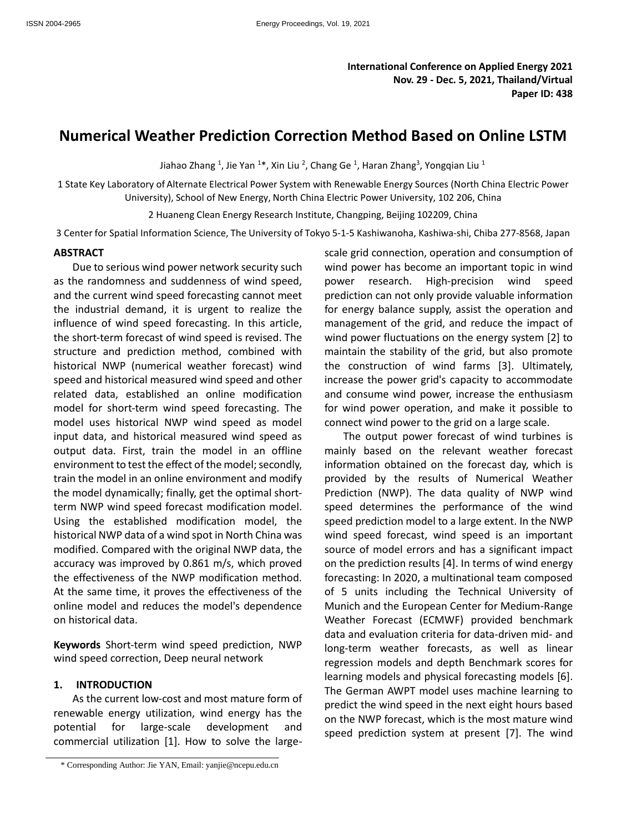# **Numerical Weather Prediction Correction Method Based on Online LSTM**

Jiahao Zhang <sup>1</sup>, Jie Yan <sup>1\*</sup>, Xin Liu <sup>2</sup>, Chang Ge <sup>1</sup>, Haran Zhang<sup>3</sup>, Yongqian Liu <sup>1</sup>

1 State Key Laboratory of Alternate Electrical Power System with Renewable Energy Sources (North China Electric Power University), School of New Energy, North China Electric Power University, 102 206, China

2 Huaneng Clean Energy Research Institute, Changping, Beijing 102209, China

3 Center for Spatial Information Science, The University of Tokyo 5-1-5 Kashiwanoha, Kashiwa-shi, Chiba 277-8568, Japan

## **ABSTRACT**

Due to serious wind power network security such as the randomness and suddenness of wind speed, and the current wind speed forecasting cannot meet the industrial demand, it is urgent to realize the influence of wind speed forecasting. In this article, the short-term forecast of wind speed is revised. The structure and prediction method, combined with historical NWP (numerical weather forecast) wind speed and historical measured wind speed and other related data, established an online modification model for short-term wind speed forecasting. The model uses historical NWP wind speed as model input data, and historical measured wind speed as output data. First, train the model in an offline environment to test the effect of the model; secondly, train the model in an online environment and modify the model dynamically; finally, get the optimal shortterm NWP wind speed forecast modification model. Using the established modification model, the historical NWP data of a wind spot in North China was modified. Compared with the original NWP data, the accuracy was improved by 0.861 m/s, which proved the effectiveness of the NWP modification method. At the same time, it proves the effectiveness of the online model and reduces the model's dependence on historical data.

**Keywords** Short-term wind speed prediction, NWP wind speed correction, Deep neural network

#### **1. INTRODUCTION**

As the current low-cost and most mature form of renewable energy utilization, wind energy has the potential for large-scale development and commercial utilization [1]. How to solve the largescale grid connection, operation and consumption of wind power has become an important topic in wind power research. High-precision wind speed prediction can not only provide valuable information for energy balance supply, assist the operation and management of the grid, and reduce the impact of wind power fluctuations on the energy system [2] to maintain the stability of the grid, but also promote the construction of wind farms [3]. Ultimately, increase the power grid's capacity to accommodate and consume wind power, increase the enthusiasm for wind power operation, and make it possible to connect wind power to the grid on a large scale.

The output power forecast of wind turbines is mainly based on the relevant weather forecast information obtained on the forecast day, which is provided by the results of Numerical Weather Prediction (NWP). The data quality of NWP wind speed determines the performance of the wind speed prediction model to a large extent. In the NWP wind speed forecast, wind speed is an important source of model errors and has a significant impact on the prediction results [4]. In terms of wind energy forecasting: In 2020, a multinational team composed of 5 units including the Technical University of Munich and the European Center for Medium-Range Weather Forecast (ECMWF) provided benchmark data and evaluation criteria for data-driven mid- and long-term weather forecasts, as well as linear regression models and depth Benchmark scores for learning models and physical forecasting models [6]. The German AWPT model uses machine learning to predict the wind speed in the next eight hours based on the NWP forecast, which is the most mature wind speed prediction system at present [7]. The wind

<sup>\*</sup> Corresponding Author: Jie YAN, Email: yanjie@ncepu.edu.cn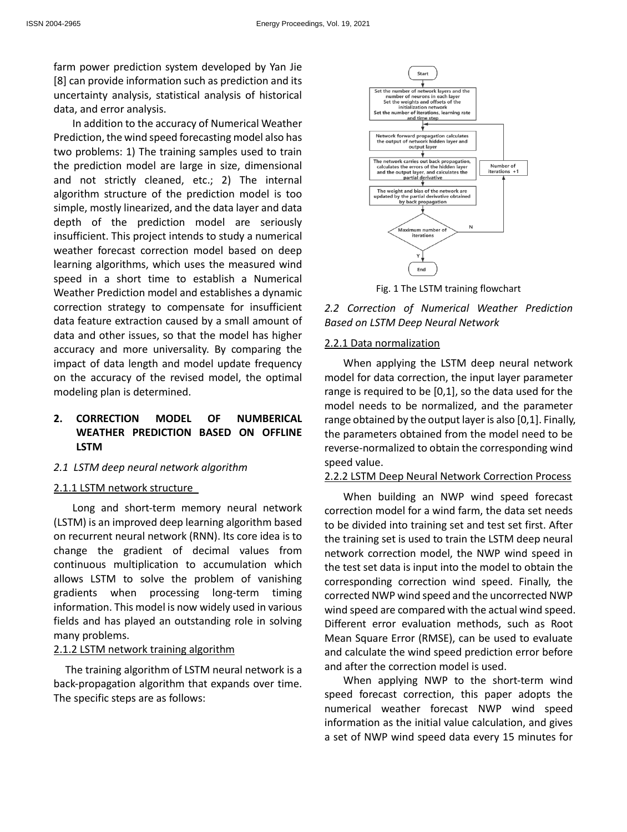farm power prediction system developed by Yan Jie [8] can provide information such as prediction and its uncertainty analysis, statistical analysis of historical data, and error analysis.

In addition to the accuracy of Numerical Weather Prediction, the wind speed forecasting model also has two problems: 1) The training samples used to train the prediction model are large in size, dimensional and not strictly cleaned, etc.; 2) The internal algorithm structure of the prediction model is too simple, mostly linearized, and the data layer and data depth of the prediction model are seriously insufficient. This project intends to study a numerical weather forecast correction model based on deep learning algorithms, which uses the measured wind speed in a short time to establish a Numerical Weather Prediction model and establishes a dynamic correction strategy to compensate for insufficient data feature extraction caused by a small amount of data and other issues, so that the model has higher accuracy and more universality. By comparing the impact of data length and model update frequency on the accuracy of the revised model, the optimal modeling plan is determined.

# **2. CORRECTION MODEL OF NUMBERICAL WEATHER PREDICTION BASED ON OFFLINE LSTM**

#### *2.1 LSTM deep neural network algorithm*

#### 2.1.1 LSTM network structure

Long and short-term memory neural network (LSTM) is an improved deep learning algorithm based on recurrent neural network (RNN). Its core idea is to change the gradient of decimal values from continuous multiplication to accumulation which allows LSTM to solve the problem of vanishing gradients when processing long-term timing information. This model is now widely used in various fields and has played an outstanding role in solving many problems.

#### 2.1.2 LSTM network training algorithm

The training algorithm of LSTM neural network is a back-propagation algorithm that expands over time. The specific steps are as follows:



Fig. 1 The LSTM training flowchart

*2.2 Correction of Numerical Weather Prediction Based on LSTM Deep Neural Network*

# 2.2.1 Data normalization

When applying the LSTM deep neural network model for data correction, the input layer parameter range is required to be [0,1], so the data used for the model needs to be normalized, and the parameter range obtained by the output layer is also [0,1]. Finally, the parameters obtained from the model need to be reverse-normalized to obtain the corresponding wind speed value.

## 2.2.2 LSTM Deep Neural Network Correction Process

When building an NWP wind speed forecast correction model for a wind farm, the data set needs to be divided into training set and test set first. After the training set is used to train the LSTM deep neural network correction model, the NWP wind speed in the test set data is input into the model to obtain the corresponding correction wind speed. Finally, the corrected NWP wind speed and the uncorrected NWP wind speed are compared with the actual wind speed. Different error evaluation methods, such as Root Mean Square Error (RMSE), can be used to evaluate and calculate the wind speed prediction error before and after the correction model is used.

When applying NWP to the short-term wind speed forecast correction, this paper adopts the numerical weather forecast NWP wind speed information as the initial value calculation, and gives a set of NWP wind speed data every 15 minutes for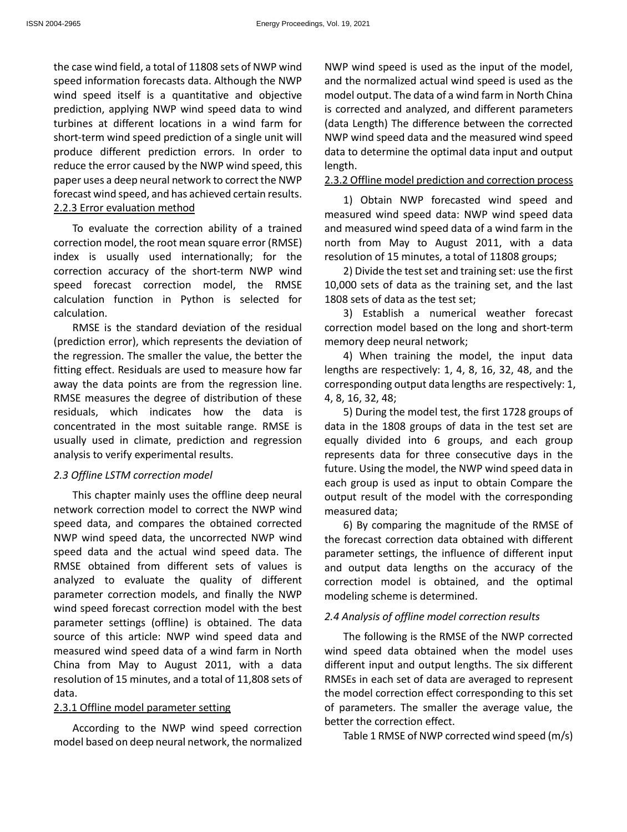the case wind field, a total of 11808 sets of NWP wind speed information forecasts data. Although the NWP wind speed itself is a quantitative and objective prediction, applying NWP wind speed data to wind turbines at different locations in a wind farm for short-term wind speed prediction of a single unit will produce different prediction errors. In order to reduce the error caused by the NWP wind speed, this paper uses a deep neural network to correct the NWP forecast wind speed, and has achieved certain results. 2.2.3 Error evaluation method

To evaluate the correction ability of a trained correction model, the root mean square error (RMSE) index is usually used internationally; for the correction accuracy of the short-term NWP wind speed forecast correction model, the RMSE calculation function in Python is selected for calculation.

RMSE is the standard deviation of the residual (prediction error), which represents the deviation of the regression. The smaller the value, the better the fitting effect. Residuals are used to measure how far away the data points are from the regression line. RMSE measures the degree of distribution of these residuals, which indicates how the data is concentrated in the most suitable range. RMSE is usually used in climate, prediction and regression analysis to verify experimental results.

## *2.3 Offline LSTM correction model*

This chapter mainly uses the offline deep neural network correction model to correct the NWP wind speed data, and compares the obtained corrected NWP wind speed data, the uncorrected NWP wind speed data and the actual wind speed data. The RMSE obtained from different sets of values is analyzed to evaluate the quality of different parameter correction models, and finally the NWP wind speed forecast correction model with the best parameter settings (offline) is obtained. The data source of this article: NWP wind speed data and measured wind speed data of a wind farm in North China from May to August 2011, with a data resolution of 15 minutes, and a total of 11,808 sets of data.

#### 2.3.1 Offline model parameter setting

According to the NWP wind speed correction model based on deep neural network, the normalized

NWP wind speed is used as the input of the model, and the normalized actual wind speed is used as the model output. The data of a wind farm in North China is corrected and analyzed, and different parameters (data Length) The difference between the corrected NWP wind speed data and the measured wind speed data to determine the optimal data input and output length.

# 2.3.2 Offline model prediction and correction process

1) Obtain NWP forecasted wind speed and measured wind speed data: NWP wind speed data and measured wind speed data of a wind farm in the north from May to August 2011, with a data resolution of 15 minutes, a total of 11808 groups;

2) Divide the test set and training set: use the first 10,000 sets of data as the training set, and the last 1808 sets of data as the test set;

3) Establish a numerical weather forecast correction model based on the long and short-term memory deep neural network;

4) When training the model, the input data lengths are respectively: 1, 4, 8, 16, 32, 48, and the corresponding output data lengths are respectively: 1, 4, 8, 16, 32, 48;

5) During the model test, the first 1728 groups of data in the 1808 groups of data in the test set are equally divided into 6 groups, and each group represents data for three consecutive days in the future. Using the model, the NWP wind speed data in each group is used as input to obtain Compare the output result of the model with the corresponding measured data;

6) By comparing the magnitude of the RMSE of the forecast correction data obtained with different parameter settings, the influence of different input and output data lengths on the accuracy of the correction model is obtained, and the optimal modeling scheme is determined.

# *2.4 Analysis of offline model correction results*

The following is the RMSE of the NWP corrected wind speed data obtained when the model uses different input and output lengths. The six different RMSEs in each set of data are averaged to represent the model correction effect corresponding to this set of parameters. The smaller the average value, the better the correction effect.

Table 1 RMSE of NWP corrected wind speed (m/s)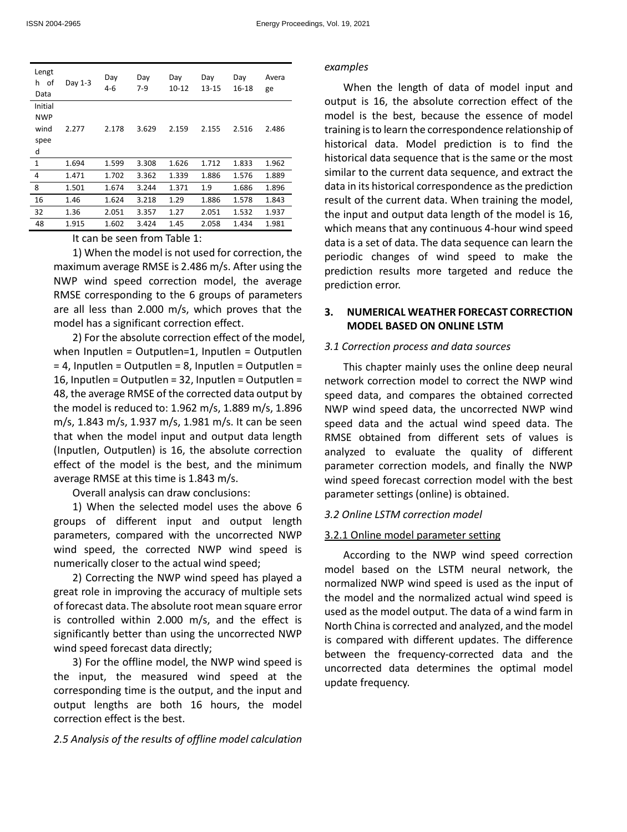| Lengt<br>0f<br>h.<br>Data | Day 1-3 | Day<br>$4 - 6$ | Day<br>$7-9$ | Day<br>10-12 | Day<br>13-15 | Day<br>16-18 | Avera<br>ge |
|---------------------------|---------|----------------|--------------|--------------|--------------|--------------|-------------|
| Initial                   |         |                |              |              |              |              |             |
| <b>NWP</b>                |         |                |              |              |              |              |             |
| wind                      | 2.277   | 2.178          | 3.629        | 2.159        | 2.155        | 2.516        | 2.486       |
| spee                      |         |                |              |              |              |              |             |
| d                         |         |                |              |              |              |              |             |
| 1                         | 1.694   | 1.599          | 3.308        | 1.626        | 1.712        | 1.833        | 1.962       |
| 4                         | 1.471   | 1.702          | 3.362        | 1.339        | 1.886        | 1.576        | 1.889       |
| 8                         | 1.501   | 1.674          | 3.244        | 1.371        | 1.9          | 1.686        | 1.896       |
| 16                        | 1.46    | 1.624          | 3.218        | 1.29         | 1.886        | 1.578        | 1.843       |
| 32                        | 1.36    | 2.051          | 3.357        | 1.27         | 2.051        | 1.532        | 1.937       |
| 48                        | 1.915   | 1.602          | 3.424        | 1.45         | 2.058        | 1.434        | 1.981       |

It can be seen from Table 1:

1) When the model is not used for correction, the maximum average RMSE is 2.486 m/s. After using the NWP wind speed correction model, the average RMSE corresponding to the 6 groups of parameters are all less than 2.000 m/s, which proves that the model has a significant correction effect.

2) For the absolute correction effect of the model, when Inputlen = Outputlen=1, Inputlen = Outputlen  $= 4$ , Inputlen = Outputlen = 8, Inputlen = Outputlen = 16, Inputlen = Outputlen = 32, Inputlen = Outputlen = 48, the average RMSE of the corrected data output by the model is reduced to: 1.962 m/s, 1.889 m/s, 1.896 m/s, 1.843 m/s, 1.937 m/s, 1.981 m/s. It can be seen that when the model input and output data length (Inputlen, Outputlen) is 16, the absolute correction effect of the model is the best, and the minimum average RMSE at this time is 1.843 m/s.

Overall analysis can draw conclusions:

1) When the selected model uses the above 6 groups of different input and output length parameters, compared with the uncorrected NWP wind speed, the corrected NWP wind speed is numerically closer to the actual wind speed;

2) Correcting the NWP wind speed has played a great role in improving the accuracy of multiple sets of forecast data. The absolute root mean square error is controlled within 2.000 m/s, and the effect is significantly better than using the uncorrected NWP wind speed forecast data directly;

3) For the offline model, the NWP wind speed is the input, the measured wind speed at the corresponding time is the output, and the input and output lengths are both 16 hours, the model correction effect is the best.

*2.5 Analysis of the results of offline model calculation* 

#### *examples*

When the length of data of model input and output is 16, the absolute correction effect of the model is the best, because the essence of model training is to learn the correspondence relationship of historical data. Model prediction is to find the historical data sequence that is the same or the most similar to the current data sequence, and extract the data in its historical correspondence as the prediction result of the current data. When training the model, the input and output data length of the model is 16, which means that any continuous 4-hour wind speed data is a set of data. The data sequence can learn the periodic changes of wind speed to make the prediction results more targeted and reduce the prediction error.

# **3. NUMERICAL WEATHER FORECAST CORRECTION MODEL BASED ON ONLINE LSTM**

#### *3.1 Correction process and data sources*

This chapter mainly uses the online deep neural network correction model to correct the NWP wind speed data, and compares the obtained corrected NWP wind speed data, the uncorrected NWP wind speed data and the actual wind speed data. The RMSE obtained from different sets of values is analyzed to evaluate the quality of different parameter correction models, and finally the NWP wind speed forecast correction model with the best parameter settings (online) is obtained.

# *3.2 Online LSTM correction model*

# 3.2.1 Online model parameter setting

According to the NWP wind speed correction model based on the LSTM neural network, the normalized NWP wind speed is used as the input of the model and the normalized actual wind speed is used as the model output. The data of a wind farm in North China is corrected and analyzed, and the model is compared with different updates. The difference between the frequency-corrected data and the uncorrected data determines the optimal model update frequency.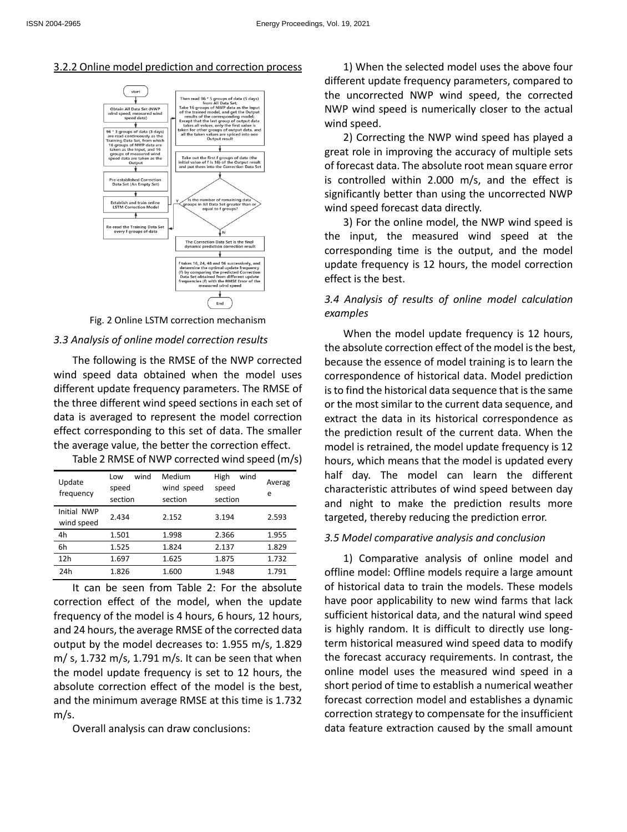## 3.2.2 Online model prediction and correction process





#### *3.3 Analysis of online model correction results*

The following is the RMSE of the NWP corrected wind speed data obtained when the model uses different update frequency parameters. The RMSE of the three different wind speed sections in each set of data is averaged to represent the model correction effect corresponding to this set of data. The smaller the average value, the better the correction effect.

| Update<br>frequency       | wind<br>Low<br>speed<br>section | Medium<br>wind speed<br>section | High<br>wind<br>speed<br>section | Averag<br>e |
|---------------------------|---------------------------------|---------------------------------|----------------------------------|-------------|
| Initial NWP<br>wind speed | 2.434                           | 2.152                           | 3.194                            | 2.593       |
| 4h                        | 1.501                           | 1.998                           | 2.366                            | 1.955       |
| 6h                        | 1.525                           | 1.824                           | 2.137                            | 1.829       |
| 12h                       | 1.697                           | 1.625                           | 1.875                            | 1.732       |
| 24h                       | 1.826                           | 1.600                           | 1.948                            | 1.791       |

Table 2 RMSE of NWP corrected wind speed (m/s)

It can be seen from Table 2: For the absolute correction effect of the model, when the update frequency of the model is 4 hours, 6 hours, 12 hours, and 24 hours, the average RMSE of the corrected data output by the model decreases to: 1.955 m/s, 1.829 m/ s, 1.732 m/s, 1.791 m/s. It can be seen that when the model update frequency is set to 12 hours, the absolute correction effect of the model is the best, and the minimum average RMSE at this time is 1.732 m/s.

Overall analysis can draw conclusions:

1) When the selected model uses the above four different update frequency parameters, compared to the uncorrected NWP wind speed, the corrected NWP wind speed is numerically closer to the actual wind speed.

2) Correcting the NWP wind speed has played a great role in improving the accuracy of multiple sets of forecast data. The absolute root mean square error is controlled within 2.000 m/s, and the effect is significantly better than using the uncorrected NWP wind speed forecast data directly.

3) For the online model, the NWP wind speed is the input, the measured wind speed at the corresponding time is the output, and the model update frequency is 12 hours, the model correction effect is the best.

# *3.4 Analysis of results of online model calculation examples*

When the model update frequency is 12 hours, the absolute correction effect of the model is the best, because the essence of model training is to learn the correspondence of historical data. Model prediction is to find the historical data sequence that is the same or the most similar to the current data sequence, and extract the data in its historical correspondence as the prediction result of the current data. When the model is retrained, the model update frequency is 12 hours, which means that the model is updated every half day. The model can learn the different characteristic attributes of wind speed between day and night to make the prediction results more targeted, thereby reducing the prediction error.

# *3.5 Model comparative analysis and conclusion*

1) Comparative analysis of online model and offline model: Offline models require a large amount of historical data to train the models. These models have poor applicability to new wind farms that lack sufficient historical data, and the natural wind speed is highly random. It is difficult to directly use longterm historical measured wind speed data to modify the forecast accuracy requirements. In contrast, the online model uses the measured wind speed in a short period of time to establish a numerical weather forecast correction model and establishes a dynamic correction strategy to compensate for the insufficient data feature extraction caused by the small amount